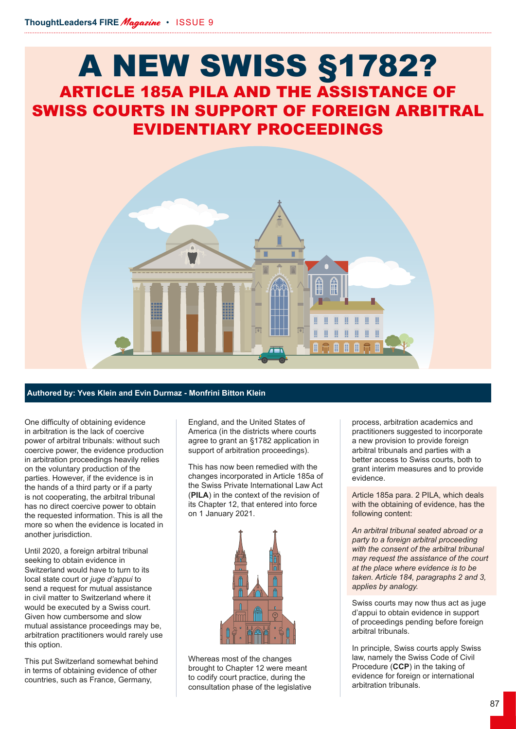## A NEW SWISS §1782? ARTICLE 185A PILA AND THE ASSISTANCE OF SWISS COURTS IN SUPPORT OF FOREIGN ARBITRAL EVIDENTIARY PROCEEDINGS



## **Authored by: Yves Klein and Evin Durmaz - Monfrini Bitton Klein**

One difficulty of obtaining evidence in arbitration is the lack of coercive power of arbitral tribunals: without such coercive power, the evidence production in arbitration proceedings heavily relies on the voluntary production of the parties. However, if the evidence is in the hands of a third party or if a party is not cooperating, the arbitral tribunal has no direct coercive power to obtain the requested information. This is all the more so when the evidence is located in another jurisdiction.

Until 2020, a foreign arbitral tribunal seeking to obtain evidence in Switzerland would have to turn to its local state court or *juge d'appui* to send a request for mutual assistance in civil matter to Switzerland where it would be executed by a Swiss court. Given how cumbersome and slow mutual assistance proceedings may be, arbitration practitioners would rarely use this option.

This put Switzerland somewhat behind in terms of obtaining evidence of other countries, such as France, Germany,

England, and the United States of America (in the districts where courts agree to grant an §1782 application in support of arbitration proceedings).

This has now been remedied with the changes incorporated in Article 185a of the Swiss Private International Law Act (**PILA**) in the context of the revision of its Chapter 12, that entered into force on 1 January 2021.



Whereas most of the changes brought to Chapter 12 were meant to codify court practice, during the consultation phase of the legislative

process, arbitration academics and practitioners suggested to incorporate a new provision to provide foreign arbitral tribunals and parties with a better access to Swiss courts, both to grant interim measures and to provide evidence.

Article 185a para. 2 PILA, which deals with the obtaining of evidence, has the following content:

*An arbitral tribunal seated abroad or a party to a foreign arbitral proceeding with the consent of the arbitral tribunal may request the assistance of the court at the place where evidence is to be taken. Article 184, paragraphs 2 and 3, applies by analogy.*

Swiss courts may now thus act as juge d'appui to obtain evidence in support of proceedings pending before foreign arbitral tribunals.

In principle, Swiss courts apply Swiss law, namely the Swiss Code of Civil Procedure (**CCP**) in the taking of evidence for foreign or international arbitration tribunals.